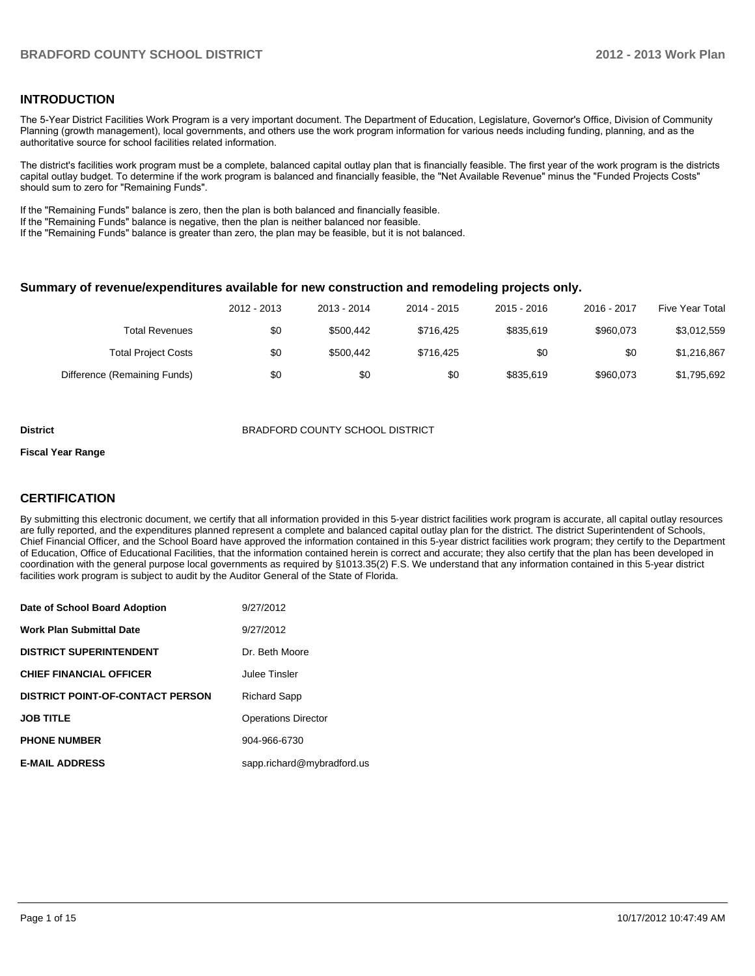## **INTRODUCTION**

The 5-Year District Facilities Work Program is a very important document. The Department of Education, Legislature, Governor's Office, Division of Community Planning (growth management), local governments, and others use the work program information for various needs including funding, planning, and as the authoritative source for school facilities related information.

The district's facilities work program must be a complete, balanced capital outlay plan that is financially feasible. The first year of the work program is the districts capital outlay budget. To determine if the work program is balanced and financially feasible, the "Net Available Revenue" minus the "Funded Projects Costs" should sum to zero for "Remaining Funds".

If the "Remaining Funds" balance is zero, then the plan is both balanced and financially feasible.

If the "Remaining Funds" balance is negative, then the plan is neither balanced nor feasible.

If the "Remaining Funds" balance is greater than zero, the plan may be feasible, but it is not balanced.

#### **Summary of revenue/expenditures available for new construction and remodeling projects only.**

|                              | 2012 - 2013 | 2013 - 2014 | 2014 - 2015 | 2015 - 2016 | 2016 - 2017 | Five Year Total |
|------------------------------|-------------|-------------|-------------|-------------|-------------|-----------------|
| <b>Total Revenues</b>        | \$0         | \$500.442   | \$716.425   | \$835.619   | \$960.073   | \$3,012,559     |
| <b>Total Project Costs</b>   | \$0         | \$500.442   | \$716.425   | \$0         | \$0         | \$1,216,867     |
| Difference (Remaining Funds) | \$0         | \$0         | \$0         | \$835,619   | \$960,073   | \$1,795,692     |

#### **District** BRADFORD COUNTY SCHOOL DISTRICT

#### **Fiscal Year Range**

## **CERTIFICATION**

By submitting this electronic document, we certify that all information provided in this 5-year district facilities work program is accurate, all capital outlay resources are fully reported, and the expenditures planned represent a complete and balanced capital outlay plan for the district. The district Superintendent of Schools, Chief Financial Officer, and the School Board have approved the information contained in this 5-year district facilities work program; they certify to the Department of Education, Office of Educational Facilities, that the information contained herein is correct and accurate; they also certify that the plan has been developed in coordination with the general purpose local governments as required by §1013.35(2) F.S. We understand that any information contained in this 5-year district facilities work program is subject to audit by the Auditor General of the State of Florida.

| Date of School Board Adoption           | 9/27/2012                  |
|-----------------------------------------|----------------------------|
| <b>Work Plan Submittal Date</b>         | 9/27/2012                  |
| <b>DISTRICT SUPERINTENDENT</b>          | Dr. Beth Moore             |
| <b>CHIEF FINANCIAL OFFICER</b>          | Julee Tinsler              |
| <b>DISTRICT POINT-OF-CONTACT PERSON</b> | <b>Richard Sapp</b>        |
| <b>JOB TITLE</b>                        | <b>Operations Director</b> |
| <b>PHONE NUMBER</b>                     | 904-966-6730               |
| <b>E-MAIL ADDRESS</b>                   | sapp.richard@mybradford.us |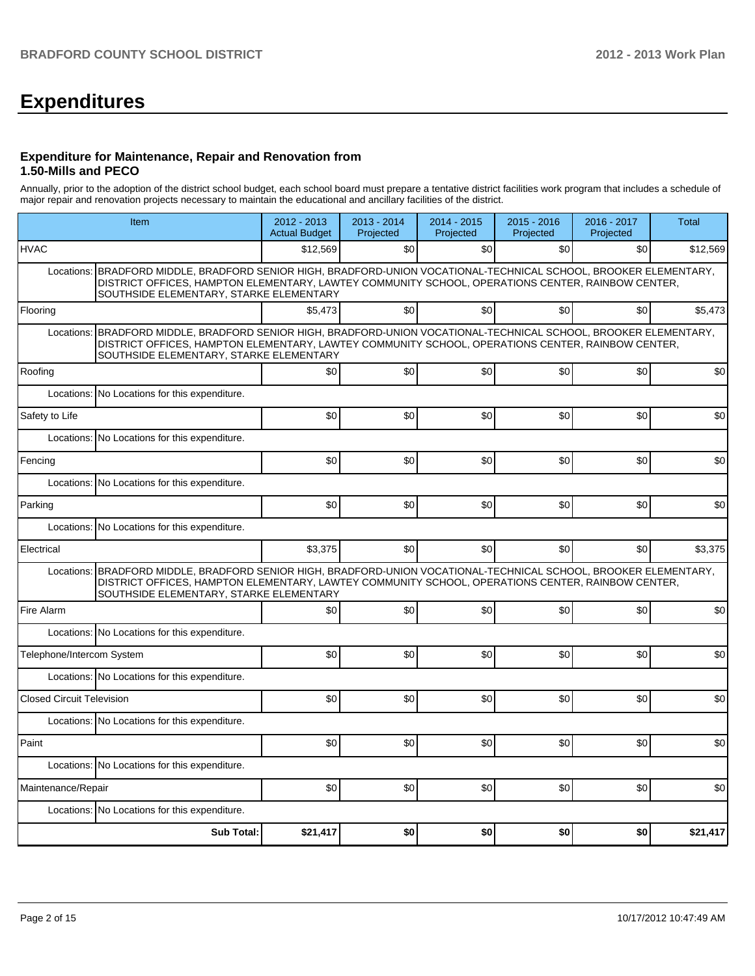## **Expenditures**

#### **Expenditure for Maintenance, Repair and Renovation from 1.50-Mills and PECO**

Annually, prior to the adoption of the district school budget, each school board must prepare a tentative district facilities work program that includes a schedule of major repair and renovation projects necessary to maintain the educational and ancillary facilities of the district.

| Item                                                                                                                                                                                                                                                              |                                                                                                                                                                                                                                                                   | 2012 - 2013<br><b>Actual Budget</b> | $2013 - 2014$<br>Projected | 2014 - 2015<br>Projected | $2015 - 2016$<br>Projected | 2016 - 2017<br>Projected | Total    |  |  |  |
|-------------------------------------------------------------------------------------------------------------------------------------------------------------------------------------------------------------------------------------------------------------------|-------------------------------------------------------------------------------------------------------------------------------------------------------------------------------------------------------------------------------------------------------------------|-------------------------------------|----------------------------|--------------------------|----------------------------|--------------------------|----------|--|--|--|
| <b>HVAC</b>                                                                                                                                                                                                                                                       |                                                                                                                                                                                                                                                                   | \$12,569                            | \$0                        | \$0                      | \$0                        | \$0                      | \$12,569 |  |  |  |
| Locations: BRADFORD MIDDLE, BRADFORD SENIOR HIGH, BRADFORD-UNION VOCATIONAL-TECHNICAL SCHOOL, BROOKER ELEMENTARY,<br>DISTRICT OFFICES, HAMPTON ELEMENTARY, LAWTEY COMMUNITY SCHOOL, OPERATIONS CENTER, RAINBOW CENTER,<br>SOUTHSIDE ELEMENTARY, STARKE ELEMENTARY |                                                                                                                                                                                                                                                                   |                                     |                            |                          |                            |                          |          |  |  |  |
| Flooring                                                                                                                                                                                                                                                          |                                                                                                                                                                                                                                                                   | \$5.473                             | \$0                        | \$0                      | \$0                        | \$0                      | \$5.473  |  |  |  |
|                                                                                                                                                                                                                                                                   | Locations: BRADFORD MIDDLE, BRADFORD SENIOR HIGH, BRADFORD-UNION VOCATIONAL-TECHNICAL SCHOOL, BROOKER ELEMENTARY,<br>DISTRICT OFFICES, HAMPTON ELEMENTARY, LAWTEY COMMUNITY SCHOOL, OPERATIONS CENTER, RAINBOW CENTER,<br>SOUTHSIDE ELEMENTARY, STARKE ELEMENTARY |                                     |                            |                          |                            |                          |          |  |  |  |
| Roofing                                                                                                                                                                                                                                                           |                                                                                                                                                                                                                                                                   | \$0                                 | \$0                        | \$0                      | \$0                        | \$0                      | \$0      |  |  |  |
|                                                                                                                                                                                                                                                                   | Locations: No Locations for this expenditure.                                                                                                                                                                                                                     |                                     |                            |                          |                            |                          |          |  |  |  |
| Safety to Life                                                                                                                                                                                                                                                    |                                                                                                                                                                                                                                                                   | \$0                                 | \$0                        | \$0                      | \$0                        | \$0                      | \$0      |  |  |  |
| Locations:                                                                                                                                                                                                                                                        | No Locations for this expenditure.                                                                                                                                                                                                                                |                                     |                            |                          |                            |                          |          |  |  |  |
| Fencing                                                                                                                                                                                                                                                           |                                                                                                                                                                                                                                                                   | \$0                                 | \$0                        | \$0                      | \$0                        | \$0                      | \$0      |  |  |  |
|                                                                                                                                                                                                                                                                   | Locations: No Locations for this expenditure.                                                                                                                                                                                                                     |                                     |                            |                          |                            |                          |          |  |  |  |
| Parking                                                                                                                                                                                                                                                           |                                                                                                                                                                                                                                                                   | \$0                                 | \$0                        | \$0                      | \$0                        | \$0                      | \$0      |  |  |  |
|                                                                                                                                                                                                                                                                   | Locations: No Locations for this expenditure.                                                                                                                                                                                                                     |                                     |                            |                          |                            |                          |          |  |  |  |
| Electrical                                                                                                                                                                                                                                                        |                                                                                                                                                                                                                                                                   | \$3,375                             | \$0                        | \$0                      | \$0                        | \$0                      | \$3.375  |  |  |  |
|                                                                                                                                                                                                                                                                   | Locations: BRADFORD MIDDLE, BRADFORD SENIOR HIGH, BRADFORD-UNION VOCATIONAL-TECHNICAL SCHOOL, BROOKER ELEMENTARY,<br>DISTRICT OFFICES, HAMPTON ELEMENTARY, LAWTEY COMMUNITY SCHOOL, OPERATIONS CENTER, RAINBOW CENTER,<br>SOUTHSIDE ELEMENTARY, STARKE ELEMENTARY |                                     |                            |                          |                            |                          |          |  |  |  |
| Fire Alarm                                                                                                                                                                                                                                                        |                                                                                                                                                                                                                                                                   | \$0                                 | \$0                        | \$0                      | \$0                        | \$0                      | \$0      |  |  |  |
|                                                                                                                                                                                                                                                                   | Locations: No Locations for this expenditure.                                                                                                                                                                                                                     |                                     |                            |                          |                            |                          |          |  |  |  |
| Telephone/Intercom System                                                                                                                                                                                                                                         |                                                                                                                                                                                                                                                                   | \$0                                 | \$0                        | \$0                      | \$0                        | \$0                      | \$0      |  |  |  |
|                                                                                                                                                                                                                                                                   | Locations: No Locations for this expenditure.                                                                                                                                                                                                                     |                                     |                            |                          |                            |                          |          |  |  |  |
| <b>Closed Circuit Television</b>                                                                                                                                                                                                                                  |                                                                                                                                                                                                                                                                   | \$0                                 | \$0                        | \$0                      | \$0                        | \$0                      | \$0      |  |  |  |
|                                                                                                                                                                                                                                                                   | Locations: No Locations for this expenditure.                                                                                                                                                                                                                     |                                     |                            |                          |                            |                          |          |  |  |  |
| Paint                                                                                                                                                                                                                                                             |                                                                                                                                                                                                                                                                   | \$0                                 | \$0                        | \$0                      | \$0                        | \$0                      | \$0      |  |  |  |
|                                                                                                                                                                                                                                                                   | Locations: No Locations for this expenditure.                                                                                                                                                                                                                     |                                     |                            |                          |                            |                          |          |  |  |  |
| Maintenance/Repair                                                                                                                                                                                                                                                |                                                                                                                                                                                                                                                                   | \$0                                 | \$0                        | \$0                      | \$0                        | \$0                      | \$0      |  |  |  |
|                                                                                                                                                                                                                                                                   | Locations: No Locations for this expenditure.                                                                                                                                                                                                                     |                                     |                            |                          |                            |                          |          |  |  |  |
|                                                                                                                                                                                                                                                                   | <b>Sub Total:</b>                                                                                                                                                                                                                                                 | \$21,417                            | \$0                        | \$0                      | \$0                        | \$0                      | \$21,417 |  |  |  |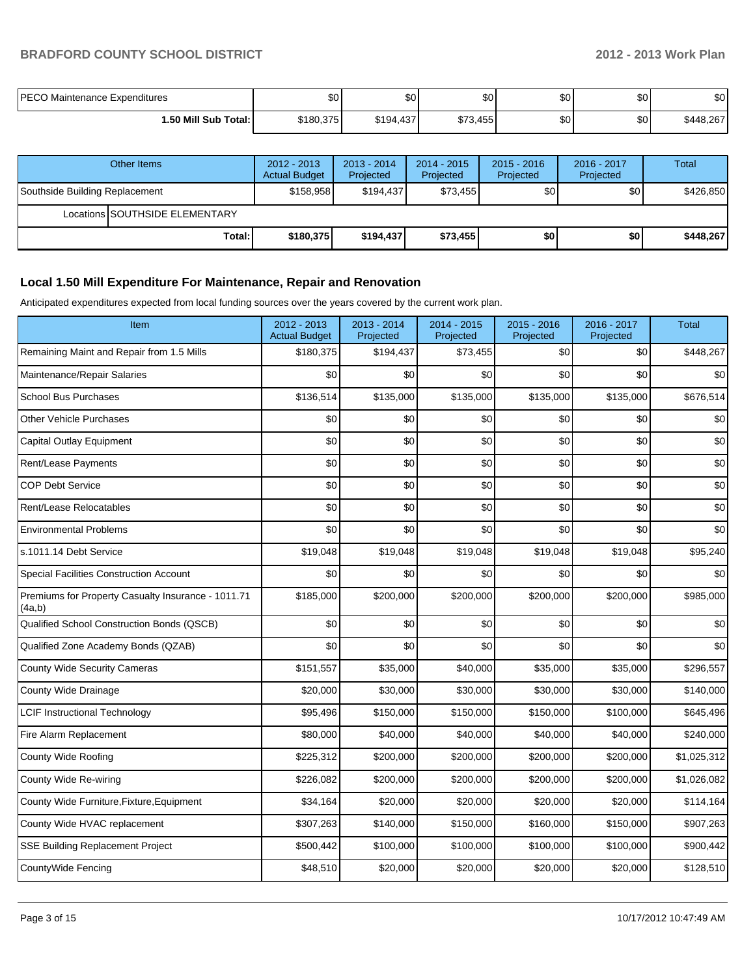## **BRADFORD COUNTY SCHOOL DISTRICT 2012 - 2013 Work Plan**

| <b>PECO Maintenance Expenditures</b> | \$0       | \$0       | ሶስ<br>υU | $\mathbf{C}$<br>JU. | \$0   | ድሰ<br>ΦU  |
|--------------------------------------|-----------|-----------|----------|---------------------|-------|-----------|
| 1.50 Mill Sub Total: İ               | \$180,375 | \$194,437 | \$73,455 | $\mathbf{C}$<br>JU. | \$0 I | \$448,267 |

| Other Items                    |                                | $2012 - 2013$<br><b>Actual Budget</b> | $2013 - 2014$<br>Projected | $2014 - 2015$<br>Projected | $2015 - 2016$<br>Projected | 2016 - 2017<br>Projected | Total     |
|--------------------------------|--------------------------------|---------------------------------------|----------------------------|----------------------------|----------------------------|--------------------------|-----------|
| Southside Building Replacement |                                | \$158,958                             | \$194.437                  | \$73.455                   | \$0                        | \$0 <sub>1</sub>         | \$426,850 |
|                                | Locations SOUTHSIDE ELEMENTARY |                                       |                            |                            |                            |                          |           |
|                                | Total:                         | \$180,375                             | \$194.437                  | \$73,455                   | \$0                        | \$O                      | \$448.267 |

## **Local 1.50 Mill Expenditure For Maintenance, Repair and Renovation**

Anticipated expenditures expected from local funding sources over the years covered by the current work plan.

| Item                                                         | 2012 - 2013<br><b>Actual Budget</b> | 2013 - 2014<br>Projected | 2014 - 2015<br>Projected | 2015 - 2016<br>Projected | 2016 - 2017<br>Projected | <b>Total</b> |
|--------------------------------------------------------------|-------------------------------------|--------------------------|--------------------------|--------------------------|--------------------------|--------------|
| Remaining Maint and Repair from 1.5 Mills                    | \$180,375                           | \$194,437                | \$73,455                 | \$0                      | \$0                      | \$448,267    |
| Maintenance/Repair Salaries                                  | \$0                                 | \$0                      | \$0                      | \$0                      | \$0                      | \$0          |
| <b>School Bus Purchases</b>                                  | \$136,514                           | \$135,000                | \$135,000                | \$135,000                | \$135,000                | \$676,514    |
| Other Vehicle Purchases                                      | \$0                                 | \$0                      | \$0                      | \$0                      | \$0                      | \$0          |
| Capital Outlay Equipment                                     | \$0                                 | \$0                      | \$0                      | \$0                      | \$0                      | \$0          |
| Rent/Lease Payments                                          | \$0                                 | \$0                      | \$0                      | \$0                      | \$0                      | \$0          |
| <b>COP Debt Service</b>                                      | \$0                                 | \$0                      | \$0                      | \$0                      | \$0                      | \$0          |
| Rent/Lease Relocatables                                      | \$0                                 | \$0                      | \$0                      | \$0                      | \$0                      | $$0$$        |
| <b>Environmental Problems</b>                                | \$0                                 | \$0                      | \$0                      | \$0                      | \$0                      | \$0          |
| s.1011.14 Debt Service                                       | \$19,048                            | \$19,048                 | \$19,048                 | \$19,048                 | \$19,048                 | \$95,240     |
| <b>Special Facilities Construction Account</b>               | \$0                                 | \$0                      | \$0                      | \$0                      | \$0                      | \$0          |
| Premiums for Property Casualty Insurance - 1011.71<br>(4a,b) | \$185,000                           | \$200,000                | \$200,000                | \$200,000                | \$200,000                | \$985,000    |
| Qualified School Construction Bonds (QSCB)                   | \$0                                 | \$0                      | \$0                      | \$0                      | \$0                      | \$0          |
| Qualified Zone Academy Bonds (QZAB)                          | \$0                                 | \$0                      | \$0                      | \$0                      | \$0                      | \$0          |
| <b>County Wide Security Cameras</b>                          | \$151,557                           | \$35,000                 | \$40,000                 | \$35,000                 | \$35,000                 | \$296,557    |
| County Wide Drainage                                         | \$20,000                            | \$30,000                 | \$30,000                 | \$30,000                 | \$30,000                 | \$140,000    |
| <b>LCIF Instructional Technology</b>                         | \$95,496                            | \$150,000                | \$150,000                | \$150,000                | \$100,000                | \$645,496    |
| Fire Alarm Replacement                                       | \$80,000                            | \$40,000                 | \$40,000                 | \$40,000                 | \$40,000                 | \$240,000    |
| County Wide Roofing                                          | \$225,312                           | \$200,000                | \$200,000                | \$200,000                | \$200,000                | \$1,025,312  |
| County Wide Re-wiring                                        | \$226,082                           | \$200,000                | \$200,000                | \$200,000                | \$200,000                | \$1,026,082  |
| County Wide Furniture, Fixture, Equipment                    | \$34,164                            | \$20,000                 | \$20,000                 | \$20,000                 | \$20,000                 | \$114,164    |
| County Wide HVAC replacement                                 | \$307,263                           | \$140,000                | \$150,000                | \$160,000                | \$150,000                | \$907,263    |
| <b>SSE Building Replacement Project</b>                      | \$500,442                           | \$100,000                | \$100,000                | \$100,000                | \$100,000                | \$900,442    |
| CountyWide Fencing                                           | \$48,510                            | \$20,000                 | \$20,000                 | \$20,000                 | \$20,000                 | \$128,510    |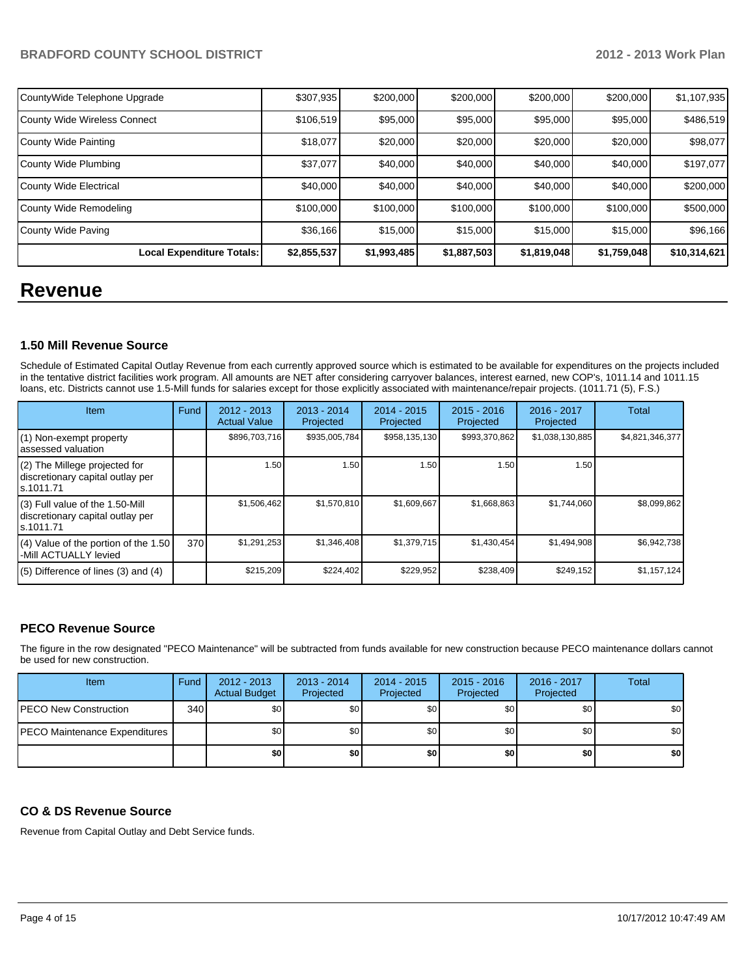## **BRADFORD COUNTY SCHOOL DISTRICT 2012 - 2013 Work Plan**

| CountyWide Telephone Upgrade        | \$307,935   | \$200,000   | \$200,000   | \$200,000   | \$200,000   | \$1,107,935  |
|-------------------------------------|-------------|-------------|-------------|-------------|-------------|--------------|
| <b>County Wide Wireless Connect</b> | \$106,519   | \$95,000    | \$95,000    | \$95,000    | \$95,000    | \$486,519    |
| County Wide Painting                | \$18,077    | \$20,000    | \$20,000    | \$20,000    | \$20,000    | \$98,077     |
| County Wide Plumbing                | \$37,077    | \$40,000    | \$40,000    | \$40,000    | \$40,000    | \$197,077    |
| <b>County Wide Electrical</b>       | \$40,000    | \$40,000    | \$40,000    | \$40,000    | \$40,000    | \$200,000    |
| County Wide Remodeling              | \$100,000   | \$100,000   | \$100,000   | \$100,000   | \$100,000   | \$500,000    |
| County Wide Paving                  | \$36,166    | \$15,000    | \$15,000    | \$15,000    | \$15,000    | \$96,166     |
| Local Expenditure Totals:           | \$2,855,537 | \$1,993,485 | \$1,887,503 | \$1,819,048 | \$1,759,048 | \$10,314,621 |

## **Revenue**

## **1.50 Mill Revenue Source**

Schedule of Estimated Capital Outlay Revenue from each currently approved source which is estimated to be available for expenditures on the projects included in the tentative district facilities work program. All amounts are NET after considering carryover balances, interest earned, new COP's, 1011.14 and 1011.15 loans, etc. Districts cannot use 1.5-Mill funds for salaries except for those explicitly associated with maintenance/repair projects. (1011.71 (5), F.S.)

| <b>Item</b>                                                                         | Fund | $2012 - 2013$<br><b>Actual Value</b> | $2013 - 2014$<br>Projected | 2014 - 2015<br>Projected | $2015 - 2016$<br>Projected | $2016 - 2017$<br>Projected | Total           |
|-------------------------------------------------------------------------------------|------|--------------------------------------|----------------------------|--------------------------|----------------------------|----------------------------|-----------------|
| (1) Non-exempt property<br>lassessed valuation                                      |      | \$896,703,716                        | \$935,005,784              | \$958,135,130            | \$993,370,862              | \$1,038,130,885            | \$4,821,346,377 |
| $(2)$ The Millege projected for<br>discretionary capital outlay per<br>ls.1011.71   |      | 1.50                                 | 1.50 l                     | 1.50                     | 1.50                       | 1.50                       |                 |
| $(3)$ Full value of the 1.50-Mill<br>discretionary capital outlay per<br>ls.1011.71 |      | \$1,506,462                          | \$1,570,810                | \$1,609,667              | \$1,668,863                | \$1,744,060                | \$8,099,862     |
| (4) Value of the portion of the 1.50<br>-Mill ACTUALLY levied                       | 370  | \$1,291,253                          | \$1,346,408                | \$1,379,715              | \$1,430,454                | \$1,494,908                | \$6,942,738     |
| $(5)$ Difference of lines $(3)$ and $(4)$                                           |      | \$215,209                            | \$224,402                  | \$229,952                | \$238,409                  | \$249,152                  | \$1,157,124     |

## **PECO Revenue Source**

The figure in the row designated "PECO Maintenance" will be subtracted from funds available for new construction because PECO maintenance dollars cannot be used for new construction.

| Item                                  | Fund | $2012 - 2013$<br><b>Actual Budget</b> | $2013 - 2014$<br>Projected | $2014 - 2015$<br>Projected | $2015 - 2016$<br>Projected | 2016 - 2017<br>Projected | <b>Total</b> |
|---------------------------------------|------|---------------------------------------|----------------------------|----------------------------|----------------------------|--------------------------|--------------|
| <b>IPECO New Construction</b>         | 340  | \$0                                   | \$0 <sub>1</sub>           | \$0                        | \$0                        | \$0                      | \$0          |
| <b>IPECO Maintenance Expenditures</b> |      | \$0                                   | \$0 <sub>1</sub>           | \$0                        | \$0 <sub>1</sub>           | \$0                      | \$0          |
|                                       |      | \$0                                   | \$0                        | \$0 <sub>1</sub>           | \$0                        | \$0                      | \$0          |

## **CO & DS Revenue Source**

Revenue from Capital Outlay and Debt Service funds.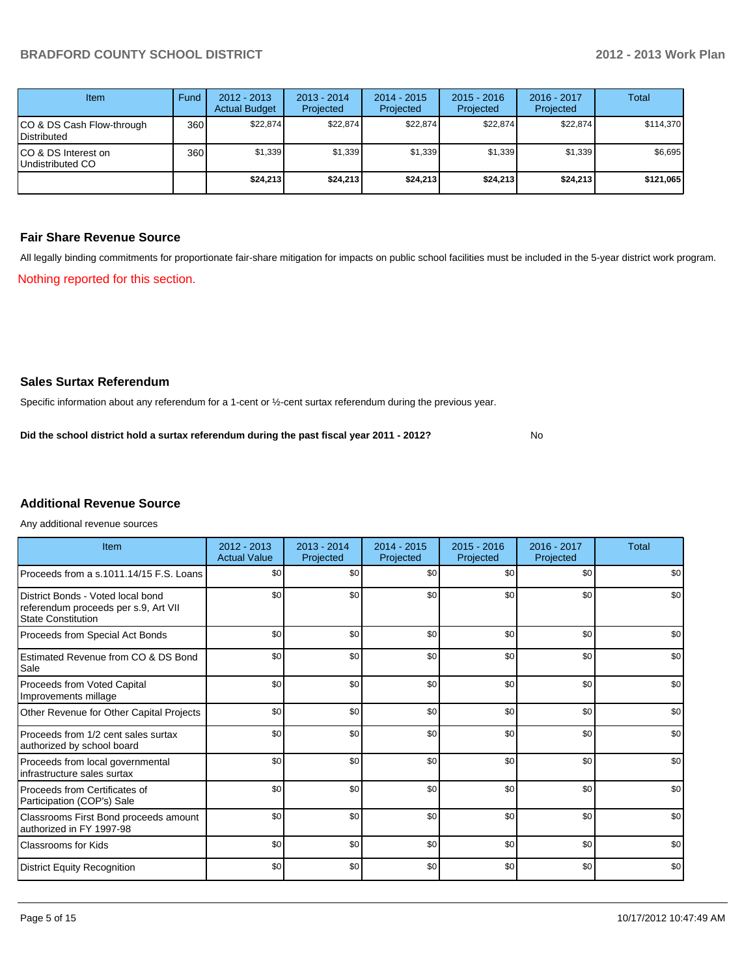| Item                                            | Fund | $2012 - 2013$<br><b>Actual Budget</b> | $2013 - 2014$<br>Projected | $2014 - 2015$<br>Projected | $2015 - 2016$<br>Projected | $2016 - 2017$<br>Projected | Total     |
|-------------------------------------------------|------|---------------------------------------|----------------------------|----------------------------|----------------------------|----------------------------|-----------|
| CO & DS Cash Flow-through<br><b>Distributed</b> | 360  | \$22,874                              | \$22,874                   | \$22,874                   | \$22,874                   | \$22,874                   | \$114,370 |
| CO & DS Interest on<br>Undistributed CO         | 360  | \$1,339                               | \$1,339                    | \$1,339                    | \$1,339                    | \$1,339                    | \$6,695   |
|                                                 |      | \$24,213                              | \$24,213                   | \$24,213                   | \$24,213                   | \$24,213                   | \$121,065 |

### **Fair Share Revenue Source**

Nothing reported for this section. All legally binding commitments for proportionate fair-share mitigation for impacts on public school facilities must be included in the 5-year district work program.

## **Sales Surtax Referendum**

Specific information about any referendum for a 1-cent or ½-cent surtax referendum during the previous year.

No **Did the school district hold a surtax referendum during the past fiscal year 2011 - 2012?**

## **Additional Revenue Source**

Any additional revenue sources

| Item                                                                                                   | $2012 - 2013$<br><b>Actual Value</b> | $2013 - 2014$<br>Projected | $2014 - 2015$<br>Projected | $2015 - 2016$<br>Projected | 2016 - 2017<br>Projected | Total |
|--------------------------------------------------------------------------------------------------------|--------------------------------------|----------------------------|----------------------------|----------------------------|--------------------------|-------|
| Proceeds from a s.1011.14/15 F.S. Loans                                                                | \$0                                  | \$0                        | \$0                        | \$0                        | \$0                      | \$0   |
| District Bonds - Voted local bond<br>referendum proceeds per s.9, Art VII<br><b>State Constitution</b> | \$0                                  | \$0                        | \$0                        | \$0                        | \$0                      | \$0   |
| Proceeds from Special Act Bonds                                                                        | \$0                                  | \$0                        | \$0                        | \$0                        | \$0                      | \$0   |
| <b>Estimated Revenue from CO &amp; DS Bond</b><br>Sale                                                 | \$0                                  | \$0                        | \$0                        | \$0                        | \$0                      | \$0   |
| <b>Proceeds from Voted Capital</b><br>Improvements millage                                             | \$0                                  | \$0                        | \$0                        | \$0                        | \$0                      | \$0   |
| Other Revenue for Other Capital Projects                                                               | \$0                                  | \$0                        | \$0                        | \$0                        | \$0                      | \$0   |
| Proceeds from 1/2 cent sales surtax<br>authorized by school board                                      | \$0                                  | \$0                        | \$0                        | \$0                        | \$0                      | \$0   |
| Proceeds from local governmental<br>infrastructure sales surtax                                        | \$0                                  | \$0                        | \$0                        | \$0                        | \$0                      | \$0   |
| Proceeds from Certificates of<br>Participation (COP's) Sale                                            | \$0                                  | \$0                        | \$0                        | \$0                        | \$0                      | \$0   |
| Classrooms First Bond proceeds amount<br>authorized in FY 1997-98                                      | \$0                                  | \$0                        | \$0                        | \$0                        | \$0                      | \$0   |
| Classrooms for Kids                                                                                    | \$0                                  | \$0                        | \$0                        | \$0                        | \$0                      | \$0   |
| <b>District Equity Recognition</b>                                                                     | \$0                                  | \$0                        | \$0                        | \$0                        | \$0                      | \$0   |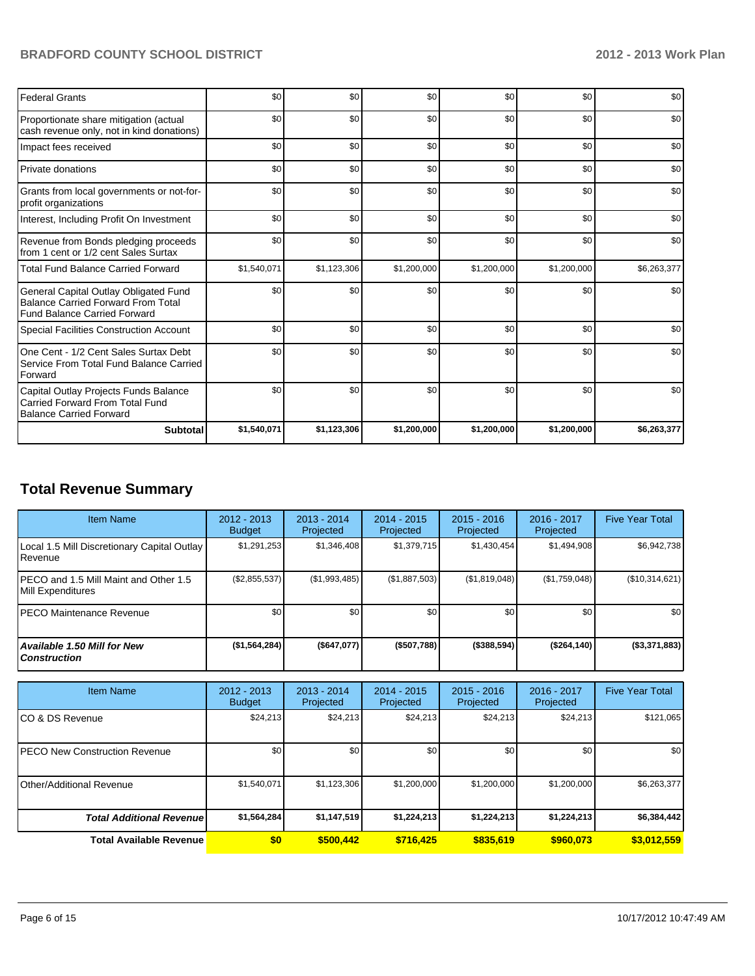## **BRADFORD COUNTY SCHOOL DISTRICT 2012 - 2013 Work Plan**

| <b>Federal Grants</b>                                                                                                     | \$0         | \$0         | \$0         | \$0         | \$0         | \$0         |
|---------------------------------------------------------------------------------------------------------------------------|-------------|-------------|-------------|-------------|-------------|-------------|
| Proportionate share mitigation (actual<br>cash revenue only, not in kind donations)                                       | \$0         | \$0         | \$0         | \$0         | \$0         | \$0         |
| Impact fees received                                                                                                      | \$0         | \$0         | \$0         | \$0         | \$0         | \$0         |
| Private donations                                                                                                         | \$0         | \$0         | \$0         | \$0         | \$0         | \$0         |
| Grants from local governments or not-for-<br>profit organizations                                                         | \$0         | \$0         | \$0         | \$0         | \$0         | \$0         |
| Interest, Including Profit On Investment                                                                                  | \$0         | \$0         | \$0         | \$0         | \$0         | \$0         |
| Revenue from Bonds pledging proceeds<br>from 1 cent or 1/2 cent Sales Surtax                                              | \$0         | \$0         | \$0         | \$0         | \$0         | \$0         |
| <b>Total Fund Balance Carried Forward</b>                                                                                 | \$1,540,071 | \$1,123,306 | \$1,200,000 | \$1,200,000 | \$1,200,000 | \$6,263,377 |
| General Capital Outlay Obligated Fund<br><b>Balance Carried Forward From Total</b><br><b>Fund Balance Carried Forward</b> | \$0         | \$0         | \$0         | \$0         | \$0         | \$0         |
| <b>Special Facilities Construction Account</b>                                                                            | \$0         | \$0         | \$0         | \$0         | \$0         | \$0         |
| One Cent - 1/2 Cent Sales Surtax Debt<br>Service From Total Fund Balance Carried<br>Forward                               | \$0         | \$0         | \$0         | \$0         | \$0         | \$0         |
| Capital Outlay Projects Funds Balance<br>Carried Forward From Total Fund<br><b>Balance Carried Forward</b>                | \$0         | \$0         | \$0         | \$0         | \$0         | \$0         |
| <b>Subtotal</b>                                                                                                           | \$1,540,071 | \$1,123,306 | \$1,200,000 | \$1,200,000 | \$1,200,000 | \$6,263,377 |

## **Total Revenue Summary**

| <b>Item Name</b>                                            | $2012 - 2013$<br><b>Budget</b> | $2013 - 2014$<br>Projected | $2014 - 2015$<br>Projected | $2015 - 2016$<br>Projected | 2016 - 2017<br>Projected | <b>Five Year Total</b> |
|-------------------------------------------------------------|--------------------------------|----------------------------|----------------------------|----------------------------|--------------------------|------------------------|
| Local 1.5 Mill Discretionary Capital Outlay<br>Revenue      | \$1,291,253                    | \$1,346,408                | \$1.379.715                | \$1,430,454                | \$1,494,908              | \$6,942,738            |
| IPECO and 1.5 Mill Maint and Other 1.5<br>Mill Expenditures | (\$2,855,537)                  | (\$1,993,485)              | (S1, 887, 503)             | (\$1,819,048)              | (\$1,759,048)            | (\$10,314,621)         |
| IPECO Maintenance Revenue                                   | \$0                            | \$0                        | \$0                        | \$0                        | \$0                      | \$0                    |
| <b>Available 1.50 Mill for New</b><br><b>Construction</b>   | (\$1,564,284)                  | (\$647,077)                | ( \$507,788]               | $($ \$388,594)             | ( \$264, 140]            | (\$3,371,883)          |

| <b>Item Name</b>                      | $2012 - 2013$<br><b>Budget</b> | $2013 - 2014$<br>Projected | $2014 - 2015$<br>Projected | $2015 - 2016$<br>Projected | 2016 - 2017<br>Projected | <b>Five Year Total</b> |
|---------------------------------------|--------------------------------|----------------------------|----------------------------|----------------------------|--------------------------|------------------------|
| ICO & DS Revenue                      | \$24,213                       | \$24,213                   | \$24,213                   | \$24,213                   | \$24,213                 | \$121,065              |
| <b>IPECO New Construction Revenue</b> | \$0                            | \$0                        | \$0                        | \$0                        | \$0                      | \$0                    |
| <b>I</b> Other/Additional Revenue     | \$1,540,071                    | \$1,123,306                | \$1,200,000                | \$1,200,000                | \$1,200,000              | \$6,263,377            |
| <b>Total Additional Revenuel</b>      | \$1,564,284                    | \$1,147,519                | \$1,224,213                | \$1,224,213                | \$1,224,213              | \$6,384,442            |
| Total Available Revenue               | \$0                            | \$500.442                  | \$716.425                  | \$835,619                  | \$960,073                | \$3,012,559            |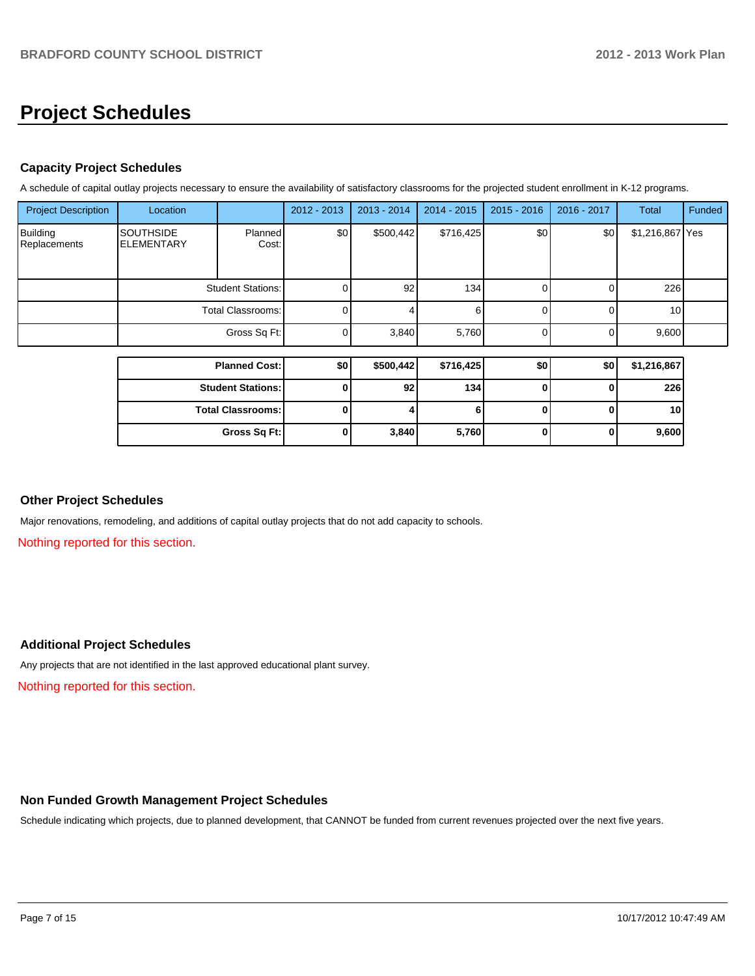## **Project Schedules**

## **Capacity Project Schedules**

A schedule of capital outlay projects necessary to ensure the availability of satisfactory classrooms for the projected student enrollment in K-12 programs.

| <b>Project Description</b>      | Location                              |                      | 2012 - 2013 | 2013 - 2014     | $2014 - 2015$ | $2015 - 2016$ | 2016 - 2017 | Total           | Funded |
|---------------------------------|---------------------------------------|----------------------|-------------|-----------------|---------------|---------------|-------------|-----------------|--------|
| <b>Building</b><br>Replacements | <b>SOUTHSIDE</b><br><b>ELEMENTARY</b> | Planned<br>Cost:     | \$0         | \$500,442       | \$716,425     | \$0           | \$0         | \$1,216,867 Yes |        |
|                                 | <b>Student Stations:</b>              |                      |             | 92 <sub>l</sub> | 134           |               |             | 226             |        |
|                                 | Total Classrooms:                     |                      | 0           |                 |               |               |             | 10 <sub>1</sub> |        |
|                                 | Gross Sq Ft:                          |                      | 0           | 3,840           | 5,760         |               |             | 9,600           |        |
|                                 |                                       |                      |             |                 |               |               |             |                 |        |
|                                 |                                       | <b>Planned Cost:</b> | \$0         | \$500,442       | \$716,425     | \$0           | \$0         | \$1,216,867     |        |
|                                 |                                       |                      |             |                 |               |               |             |                 |        |

| <b>Student Stations:</b> | 92    | 134   |  | 226   |
|--------------------------|-------|-------|--|-------|
| <b>Total Classrooms:</b> |       |       |  | 10    |
| Gross Sq Ft:             | 3,840 | 5,760 |  | 9,600 |

## **Other Project Schedules**

Major renovations, remodeling, and additions of capital outlay projects that do not add capacity to schools.

Nothing reported for this section.

## **Additional Project Schedules**

Any projects that are not identified in the last approved educational plant survey.

Nothing reported for this section.

### **Non Funded Growth Management Project Schedules**

Schedule indicating which projects, due to planned development, that CANNOT be funded from current revenues projected over the next five years.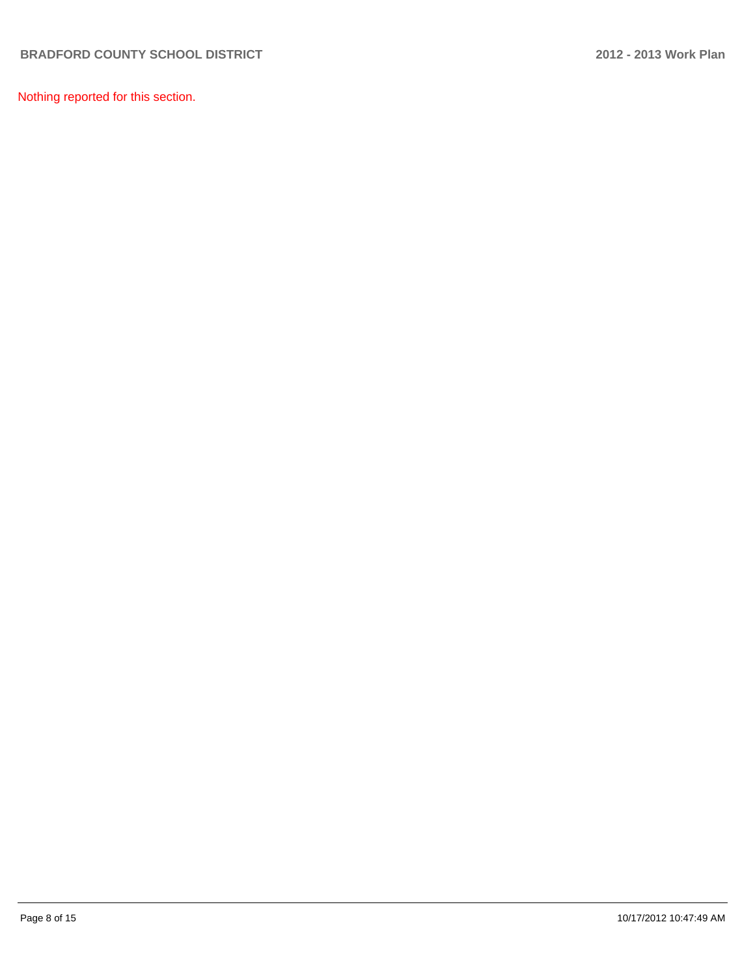Nothing reported for this section.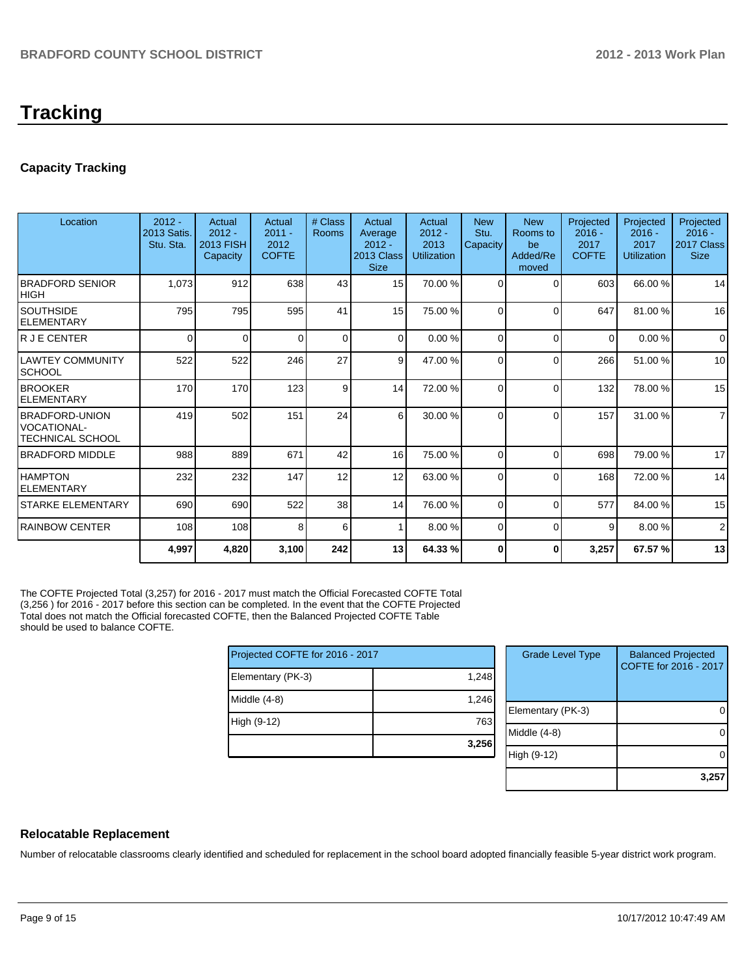# **Tracking**

## **Capacity Tracking**

| Location                                                    | $2012 -$<br>2013 Satis.<br>Stu. Sta. | Actual<br>$2012 -$<br>2013 FISH<br>Capacity | Actual<br>$2011 -$<br>2012<br><b>COFTE</b> | # Class<br><b>Rooms</b> | Actual<br>Average<br>$2012 -$<br>2013 Class<br><b>Size</b> | Actual<br>$2012 -$<br>2013<br><b>Utilization</b> | <b>New</b><br>Stu.<br>Capacity | <b>New</b><br>Rooms to<br>be<br>Added/Re<br>moved | Projected<br>$2016 -$<br>2017<br><b>COFTE</b> | Projected<br>$2016 -$<br>2017<br><b>Utilization</b> | Projected<br>$2016 -$<br>2017 Class<br><b>Size</b> |
|-------------------------------------------------------------|--------------------------------------|---------------------------------------------|--------------------------------------------|-------------------------|------------------------------------------------------------|--------------------------------------------------|--------------------------------|---------------------------------------------------|-----------------------------------------------|-----------------------------------------------------|----------------------------------------------------|
| <b>IBRADFORD SENIOR</b><br>IHIGH                            | 1,073                                | 912                                         | 638                                        | 43                      | 15                                                         | 70.00 %                                          | $\Omega$                       | $\Omega$                                          | 603                                           | 66.00 %                                             | 14                                                 |
| ISOUTHSIDE<br><b>ELEMENTARY</b>                             | 795                                  | 795                                         | 595                                        | 41                      | 15                                                         | 75.00 %                                          | $\Omega$                       | $\Omega$                                          | 647                                           | 81.00%                                              | 16                                                 |
| lr J E CENTER                                               | 0                                    | $\Omega$                                    | <sup>0</sup>                               | $\Omega$                | $\Omega$                                                   | 0.00 %                                           | 0                              | $\Omega$                                          | $\Omega$                                      | 0.00%                                               | $\Omega$                                           |
| ILAWTEY COMMUNITY<br>ISCHOOL                                | 522                                  | 522                                         | 246                                        | 27                      | 9 <sup>1</sup>                                             | 47.00 %                                          | $\Omega$                       | $\Omega$                                          | 266                                           | 51.00%                                              | 10                                                 |
| <b>BROOKER</b><br><b>IELEMENTARY</b>                        | 170                                  | 170                                         | 123                                        | 9                       | 14                                                         | 72.00 %                                          | $\Omega$                       | $\Omega$                                          | 132                                           | 78.00 %                                             | 15                                                 |
| <b>IBRADFORD-UNION</b><br>IVOCATIONAL-<br>ITECHNICAL SCHOOL | 419                                  | 502                                         | 151                                        | 24                      | 6                                                          | 30.00 %                                          | $\Omega$                       | $\Omega$                                          | 157                                           | 31.00 %                                             | $\overline{7}$                                     |
| <b>IBRADFORD MIDDLE</b>                                     | 988                                  | 889                                         | 671                                        | 42                      | 16                                                         | 75.00 %                                          | $\Omega$                       | $\Omega$                                          | 698                                           | 79.00 %                                             | 17                                                 |
| <b>HAMPTON</b><br><b>ELEMENTARY</b>                         | 232                                  | 232                                         | 147                                        | 12                      | 12                                                         | 63.00 %                                          | $\Omega$                       | $\Omega$                                          | 168                                           | 72.00 %                                             | 14                                                 |
| ISTARKE ELEMENTARY                                          | 690                                  | 690                                         | 522                                        | 38                      | 14                                                         | 76.00 %                                          | $\Omega$                       | $\Omega$                                          | 577                                           | 84.00 %                                             | 15                                                 |
| <b>IRAINBOW CENTER</b>                                      | 108                                  | 108                                         | 8                                          | 6                       |                                                            | 8.00%                                            | $\Omega$                       | $\Omega$                                          | 9                                             | 8.00%                                               | $\overline{2}$                                     |
|                                                             | 4,997                                | 4,820                                       | 3,100                                      | 242                     | 13                                                         | 64.33 %                                          | 0                              | 0                                                 | 3,257                                         | 67.57 %                                             | 13                                                 |

The COFTE Projected Total (3,257) for 2016 - 2017 must match the Official Forecasted COFTE Total (3,256 ) for 2016 - 2017 before this section can be completed. In the event that the COFTE Projected Total does not match the Official forecasted COFTE, then the Balanced Projected COFTE Table should be used to balance COFTE.

| Projected COFTE for 2016 - 2017 |       |  |  |  |  |  |
|---------------------------------|-------|--|--|--|--|--|
| Elementary (PK-3)               | 1,248 |  |  |  |  |  |
| Middle (4-8)                    | 1,246 |  |  |  |  |  |
| High (9-12)                     | 763   |  |  |  |  |  |
|                                 | 3,256 |  |  |  |  |  |

| <b>Grade Level Type</b> | <b>Balanced Projected</b><br>COFTE for 2016 - 2017 |
|-------------------------|----------------------------------------------------|
| Elementary (PK-3)       |                                                    |
| Middle (4-8)            |                                                    |
| High (9-12)             |                                                    |
|                         | 3,25                                               |

## **Relocatable Replacement**

Number of relocatable classrooms clearly identified and scheduled for replacement in the school board adopted financially feasible 5-year district work program.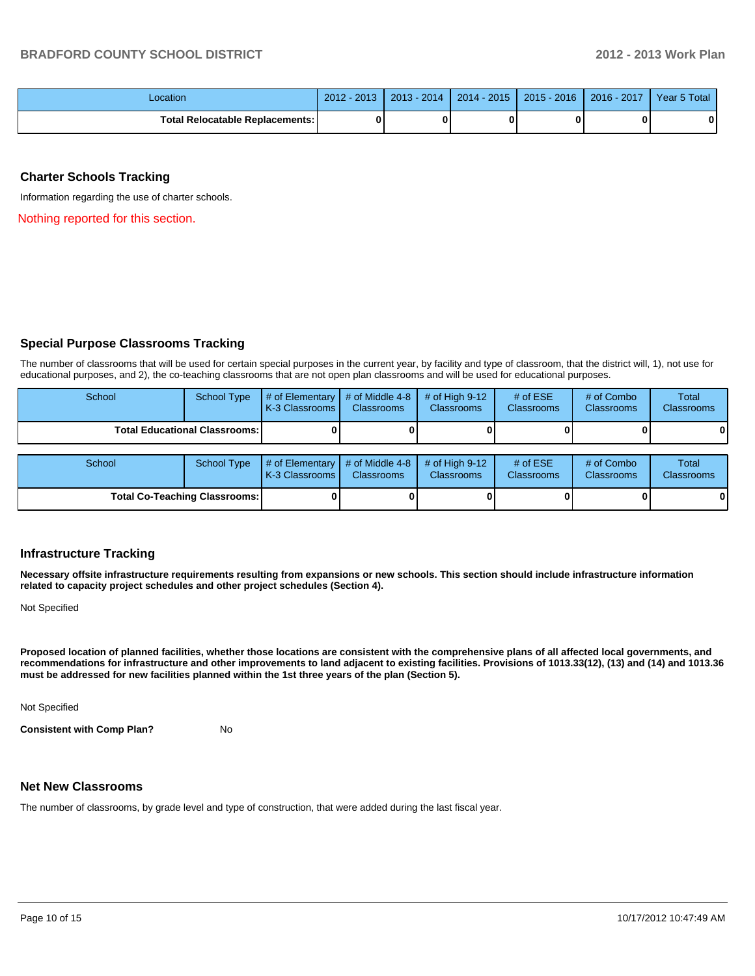| _ocation                          | 2013<br>$2012 -$ | $2013 - 2014$ | 2014 - 2015 | $2015 - 2016$ | 2016 - 2017 | Year 5 Total |
|-----------------------------------|------------------|---------------|-------------|---------------|-------------|--------------|
| Total Relocatable Replacements: I |                  |               |             |               |             |              |

#### **Charter Schools Tracking**

Information regarding the use of charter schools.

Nothing reported for this section.

#### **Special Purpose Classrooms Tracking**

The number of classrooms that will be used for certain special purposes in the current year, by facility and type of classroom, that the district will, 1), not use for educational purposes, and 2), the co-teaching classrooms that are not open plan classrooms and will be used for educational purposes.

| School | <b>School Type</b>                     | # of Elementary<br>K-3 Classrooms | # of Middle 4-8<br><b>Classrooms</b> | # of High $9-12$<br><b>Classrooms</b> | # of $ESE$<br><b>Classrooms</b> | # of Combo<br><b>Classrooms</b> | Total<br><b>Classrooms</b> |
|--------|----------------------------------------|-----------------------------------|--------------------------------------|---------------------------------------|---------------------------------|---------------------------------|----------------------------|
|        | <b>Total Educational Classrooms: I</b> |                                   |                                      |                                       |                                 |                                 | 0                          |
|        |                                        |                                   |                                      |                                       |                                 |                                 |                            |
| School | <b>School Type</b>                     | # of Elementary<br>K-3 Classrooms | # of Middle 4-8<br><b>Classrooms</b> | # of High $9-12$<br>Classrooms        | # of $ESE$<br><b>Classrooms</b> | # of Combo<br><b>Classrooms</b> | Total<br><b>Classrooms</b> |
|        | <b>Total Co-Teaching Classrooms:</b>   |                                   |                                      |                                       |                                 |                                 | $\mathbf{0}$               |

#### **Infrastructure Tracking**

**Necessary offsite infrastructure requirements resulting from expansions or new schools. This section should include infrastructure information related to capacity project schedules and other project schedules (Section 4).**

Not Specified

**Proposed location of planned facilities, whether those locations are consistent with the comprehensive plans of all affected local governments, and recommendations for infrastructure and other improvements to land adjacent to existing facilities. Provisions of 1013.33(12), (13) and (14) and 1013.36 must be addressed for new facilities planned within the 1st three years of the plan (Section 5).**

Not Specified

**Consistent with Comp Plan?** No

#### **Net New Classrooms**

The number of classrooms, by grade level and type of construction, that were added during the last fiscal year.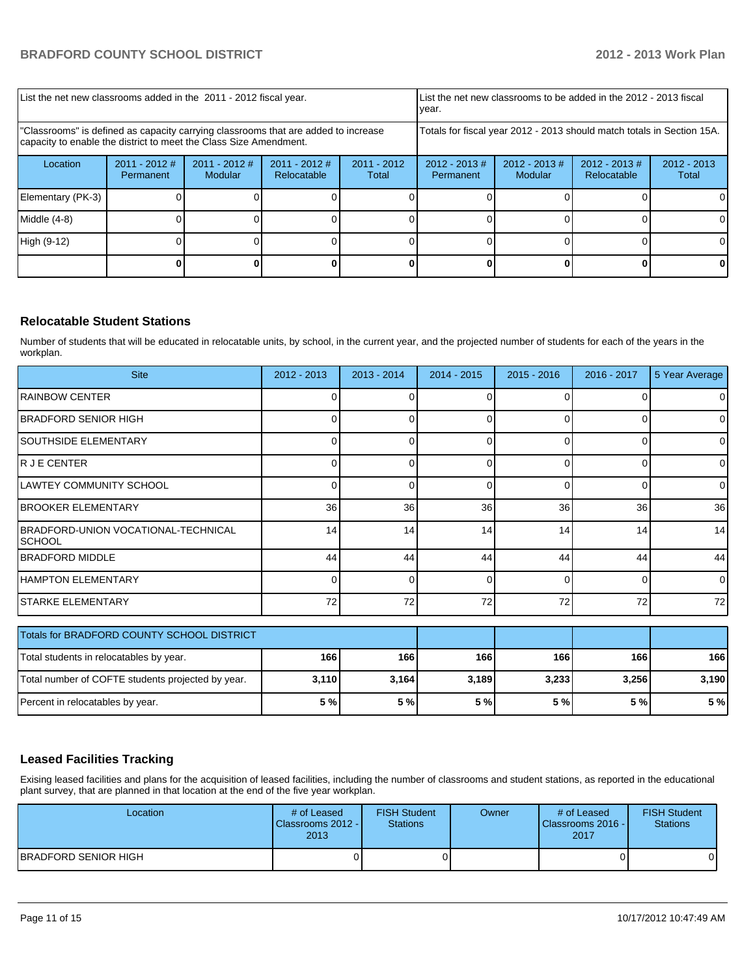| List the net new classrooms added in the 2011 - 2012 fiscal year.                                                                                       | List the net new classrooms to be added in the 2012 - 2013 fiscal<br>Ivear. |                            |                                |                        |                                                                        |                        |  |    |
|---------------------------------------------------------------------------------------------------------------------------------------------------------|-----------------------------------------------------------------------------|----------------------------|--------------------------------|------------------------|------------------------------------------------------------------------|------------------------|--|----|
| "Classrooms" is defined as capacity carrying classrooms that are added to increase<br>capacity to enable the district to meet the Class Size Amendment. |                                                                             |                            |                                |                        | Totals for fiscal year 2012 - 2013 should match totals in Section 15A. |                        |  |    |
| Location                                                                                                                                                | $2011 - 2012$ #<br>Permanent                                                | $2011 - 2012$ #<br>Modular | $2011 - 2012$ #<br>Relocatable | $2011 - 2012$<br>Total | $2012 - 2013$ #<br>Permanent                                           | $2012 - 2013$<br>Total |  |    |
| Elementary (PK-3)                                                                                                                                       |                                                                             |                            |                                |                        |                                                                        |                        |  | ΩI |
| Middle $(4-8)$                                                                                                                                          |                                                                             |                            |                                |                        |                                                                        |                        |  | 01 |
| High (9-12)                                                                                                                                             |                                                                             |                            |                                |                        |                                                                        |                        |  |    |
|                                                                                                                                                         |                                                                             |                            |                                |                        |                                                                        |                        |  |    |

## **Relocatable Student Stations**

Number of students that will be educated in relocatable units, by school, in the current year, and the projected number of students for each of the years in the workplan.

| <b>Site</b>                                           | 2012 - 2013 | $2013 - 2014$ | $2014 - 2015$ | $2015 - 2016$ | 2016 - 2017 | 5 Year Average |
|-------------------------------------------------------|-------------|---------------|---------------|---------------|-------------|----------------|
| <b>RAINBOW CENTER</b>                                 | 0           |               | 0             | $\Omega$      |             | $\overline{0}$ |
| IBRADFORD SENIOR HIGH                                 |             |               | n             | ∩             |             | $\overline{0}$ |
| <b>SOUTHSIDE ELEMENTARY</b>                           | 0           | ი             | 0             | $\Omega$      | 0           | $\overline{0}$ |
| R J E CENTER                                          | ŋ           | n             | $\Omega$      | $\Omega$      | $\Omega$    | $\Omega$       |
| ILAWTEY COMMUNITY SCHOOL                              | 0           | n             | 0             | $\Omega$      | 0           | $\overline{0}$ |
| <b>BROOKER ELEMENTARY</b>                             | 36          | 36            | 36            | 36            | 36          | 36             |
| IBRADFORD-UNION VOCATIONAL-TECHNICAL<br><b>SCHOOL</b> | 14          | 14            | 14            | 14            | 14          | 14             |
| <b>BRADFORD MIDDLE</b>                                | 44          | 44            | 44            | 44            | 44          | 44             |
| HAMPTON ELEMENTARY                                    | O           | ი             | 0             | $\Omega$      | 0           | $\overline{0}$ |
| <b>STARKE ELEMENTARY</b>                              | 72          | 72            | 72            | 72            | 72          | 72             |
| Totals for BRADFORD COUNTY SCHOOL DISTRICT            |             |               |               |               |             |                |
| Total students in relocatables by year.               | 166         | 166           | 166           | 166           | 166         | 166            |
| Total number of COFTE students projected by year.     | 3,110       | 3,164         | 3,189         | 3,233         | 3,256       | 3,190          |
| Percent in relocatables by year.                      | 5 %         | 5 %           | 5 %           | 5%            | 5 %         | 5 %            |

## **Leased Facilities Tracking**

Exising leased facilities and plans for the acquisition of leased facilities, including the number of classrooms and student stations, as reported in the educational plant survey, that are planned in that location at the end of the five year workplan.

| Location                    | # of Leased<br>Classrooms 2012 -<br>2013 | <b>FISH Student</b><br><b>Stations</b> | Owner | # of Leased<br><b>I</b> Classrooms 2016 - I<br>2017 | <b>FISH Student</b><br>Stations |
|-----------------------------|------------------------------------------|----------------------------------------|-------|-----------------------------------------------------|---------------------------------|
| <b>BRADFORD SENIOR HIGH</b> |                                          |                                        |       |                                                     |                                 |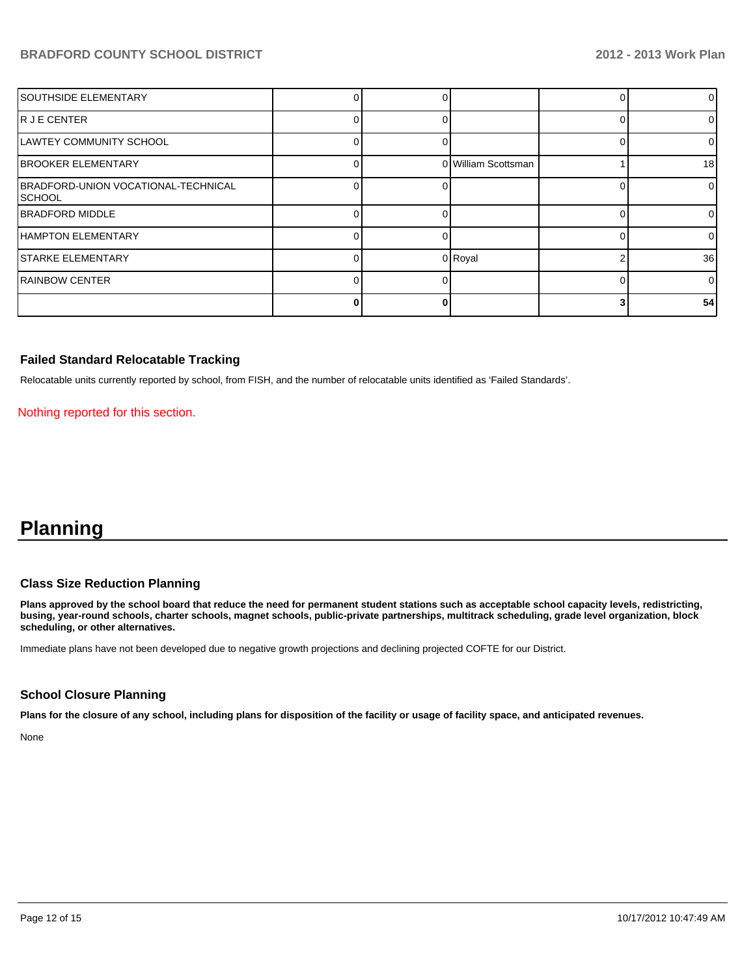## **BRADFORD COUNTY SCHOOL DISTRICT 2012 - 2012 - 2013 Work Plan**

| <b>SOUTHSIDE ELEMENTARY</b>                    |  |                     | 0              |
|------------------------------------------------|--|---------------------|----------------|
| IR J E CENTER                                  |  |                     | 0              |
| LAWTEY COMMUNITY SCHOOL                        |  |                     | 0              |
| <b>BROOKER ELEMENTARY</b>                      |  | 0 William Scottsman | 18             |
| BRADFORD-UNION VOCATIONAL-TECHNICAL<br>ISCHOOL |  |                     | $\overline{0}$ |
| <b>IBRADFORD MIDDLE</b>                        |  |                     | $\Omega$       |
| <b>HAMPTON ELEMENTARY</b>                      |  |                     | $\Omega$       |
| <b>STARKE ELEMENTARY</b>                       |  | 0 Royal             | 36             |
| <b>RAINBOW CENTER</b>                          |  |                     | $\Omega$       |
|                                                |  |                     | 54             |

### **Failed Standard Relocatable Tracking**

Relocatable units currently reported by school, from FISH, and the number of relocatable units identified as 'Failed Standards'.

Nothing reported for this section.

## **Planning**

## **Class Size Reduction Planning**

**Plans approved by the school board that reduce the need for permanent student stations such as acceptable school capacity levels, redistricting, busing, year-round schools, charter schools, magnet schools, public-private partnerships, multitrack scheduling, grade level organization, block scheduling, or other alternatives.**

Immediate plans have not been developed due to negative growth projections and declining projected COFTE for our District.

#### **School Closure Planning**

**Plans for the closure of any school, including plans for disposition of the facility or usage of facility space, and anticipated revenues.**

None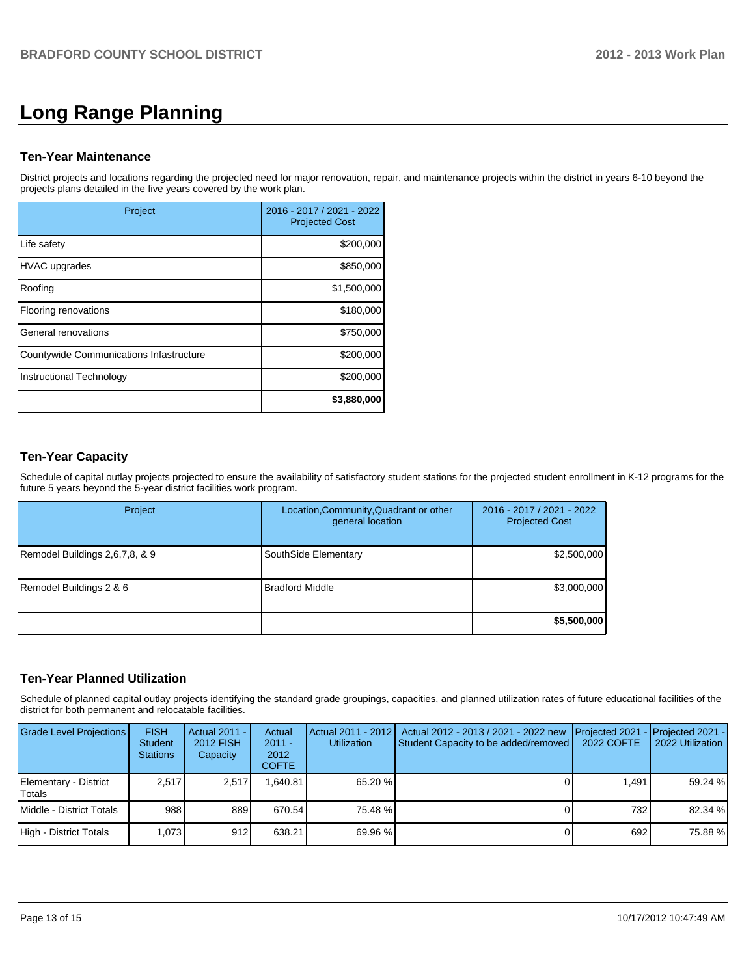# **Long Range Planning**

### **Ten-Year Maintenance**

District projects and locations regarding the projected need for major renovation, repair, and maintenance projects within the district in years 6-10 beyond the projects plans detailed in the five years covered by the work plan.

| Project                                 | 2016 - 2017 / 2021 - 2022<br><b>Projected Cost</b> |
|-----------------------------------------|----------------------------------------------------|
| Life safety                             | \$200,000                                          |
| <b>HVAC</b> upgrades                    | \$850,000                                          |
| Roofing                                 | \$1,500,000                                        |
| Flooring renovations                    | \$180,000                                          |
| General renovations                     | \$750,000                                          |
| Countywide Communications Infastructure | \$200,000                                          |
| Instructional Technology                | \$200,000                                          |
|                                         | \$3,880,000                                        |

## **Ten-Year Capacity**

Schedule of capital outlay projects projected to ensure the availability of satisfactory student stations for the projected student enrollment in K-12 programs for the future 5 years beyond the 5-year district facilities work program.

| Project                        | Location, Community, Quadrant or other<br>general location | 2016 - 2017 / 2021 - 2022<br><b>Projected Cost</b> |
|--------------------------------|------------------------------------------------------------|----------------------------------------------------|
| Remodel Buildings 2,6,7,8, & 9 | SouthSide Elementary                                       | \$2,500,000                                        |
| Remodel Buildings 2 & 6        | <b>Bradford Middle</b>                                     | \$3,000,000                                        |
|                                |                                                            | \$5,500,000                                        |

## **Ten-Year Planned Utilization**

Schedule of planned capital outlay projects identifying the standard grade groupings, capacities, and planned utilization rates of future educational facilities of the district for both permanent and relocatable facilities.

| <b>Grade Level Projections</b>   | <b>FISH</b><br><b>Student</b><br><b>Stations</b> | Actual 2011 -<br>2012 FISH<br>Capacity | Actual<br>$2011 -$<br>2012<br><b>COFTE</b> | Utilization | Actual 2011 - 2012   Actual 2012 - 2013 / 2021 - 2022 new<br>Student Capacity to be added/removed | <b>IProjected 2021 - IProjected 2021 -</b><br>2022 COFTE | 2022 Utilization |
|----------------------------------|--------------------------------------------------|----------------------------------------|--------------------------------------------|-------------|---------------------------------------------------------------------------------------------------|----------------------------------------------------------|------------------|
| Elementary - District<br>lTotals | 2.517                                            | 2.517                                  | .640.81                                    | 65.20 %     |                                                                                                   | 1.491                                                    | 59.24 %          |
| Middle - District Totals         | 988                                              | 889                                    | 670.54                                     | 75.48 %     |                                                                                                   | 732                                                      | 82.34 %          |
| High - District Totals           | 1.073                                            | 912                                    | 638.21                                     | 69.96 %     |                                                                                                   | 692                                                      | 75.88 %          |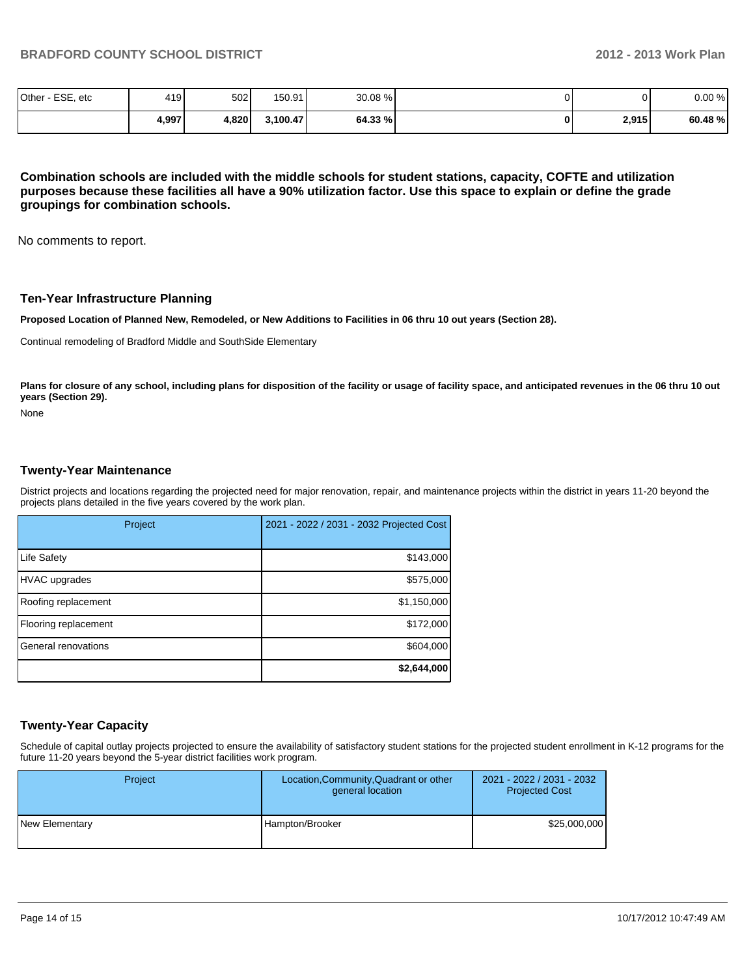| Other - ESE, etc | 419   | 502   | 150.91   | 30.08 % | 01    | 0.00%  |
|------------------|-------|-------|----------|---------|-------|--------|
|                  | 4,997 | 4,820 | 3,100.47 | 64.33 % | 2,915 | 60.48% |

**Combination schools are included with the middle schools for student stations, capacity, COFTE and utilization purposes because these facilities all have a 90% utilization factor. Use this space to explain or define the grade groupings for combination schools.**

No comments to report.

#### **Ten-Year Infrastructure Planning**

**Proposed Location of Planned New, Remodeled, or New Additions to Facilities in 06 thru 10 out years (Section 28).**

Continual remodeling of Bradford Middle and SouthSide Elementary

Plans for closure of any school, including plans for disposition of the facility or usage of facility space, and anticipated revenues in the 06 thru 10 out **years (Section 29).**

None

#### **Twenty-Year Maintenance**

District projects and locations regarding the projected need for major renovation, repair, and maintenance projects within the district in years 11-20 beyond the projects plans detailed in the five years covered by the work plan.

| Project              | 2021 - 2022 / 2031 - 2032 Projected Cost |
|----------------------|------------------------------------------|
| Life Safety          | \$143,000                                |
| <b>HVAC</b> upgrades | \$575,000                                |
| Roofing replacement  | \$1,150,000                              |
| Flooring replacement | \$172,000                                |
| General renovations  | \$604,000                                |
|                      | \$2,644,000                              |

#### **Twenty-Year Capacity**

Schedule of capital outlay projects projected to ensure the availability of satisfactory student stations for the projected student enrollment in K-12 programs for the future 11-20 years beyond the 5-year district facilities work program.

| <b>Project</b> | Location, Community, Quadrant or other<br>general location | 2021 - 2022 / 2031 - 2032<br><b>Projected Cost</b> |  |
|----------------|------------------------------------------------------------|----------------------------------------------------|--|
| New Elementary | Hampton/Brooker                                            | \$25,000,000                                       |  |